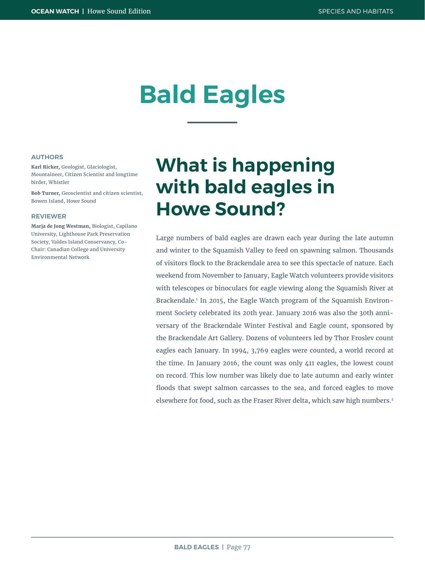# **Bald Eagles**

#### **AUTHORS**

**Karl Ricker,** Geologist, Glaciologist, Mountaineer, Citizen Scientist and longtime birder, Whistler

**Bob Turner,** Geoscientist and citizen scientist, Bowen Island, Howe Sound

#### **REVIEWER**

**Marja de Jong Westman,** Biologist, Capilano University, Lighthouse Park Preservation Society, Valdes Island Conservancy, Co-Chair: Canadian College and University Environmental Network

## **What is happening with bald eagles in Howe Sound?**

Large numbers of bald eagles are drawn each year during the late autumn and winter to the Squamish Valley to feed on spawning salmon. Thousands of visitors flock to the Brackendale area to see this spectacle of nature. Each weekend from November to January, Eagle Watch volunteers provide visitors with telescopes or binoculars for eagle viewing along the Squamish River at Brackendale.1 In 2015, the Eagle Watch program of the Squamish Environment Society celebrated its 20th year. January 2016 was also the 30th anniversary of the Brackendale Winter Festival and Eagle count, sponsored by the Brackendale Art Gallery. Dozens of volunteers led by Thor Froslev count eagles each January. In 1994, 3,769 eagles were counted, a world record at the time. In January 2016, the count was only 411 eagles, the lowest count on record. This low number was likely due to late autumn and early winter floods that swept salmon carcasses to the sea, and forced eagles to move elsewhere for food, such as the Fraser River delta, which saw high numbers.2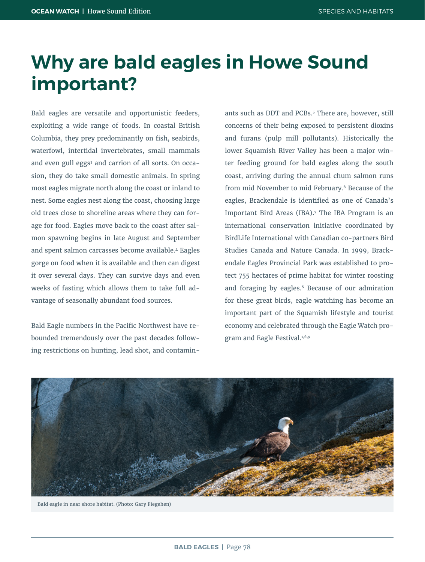## **Why are bald eagles in Howe Sound important?**

Bald eagles are versatile and opportunistic feeders, exploiting a wide range of foods. In coastal British Columbia, they prey predominantly on fish, seabirds, waterfowl, intertidal invertebrates, small mammals and even gull eggs<sup>3</sup> and carrion of all sorts. On occasion, they do take small domestic animals. In spring most eagles migrate north along the coast or inland to nest. Some eagles nest along the coast, choosing large old trees close to shoreline areas where they can forage for food. Eagles move back to the coast after salmon spawning begins in late August and September and spent salmon carcasses become available.4 Eagles gorge on food when it is available and then can digest it over several days. They can survive days and even weeks of fasting which allows them to take full advantage of seasonally abundant food sources.

Bald Eagle numbers in the Pacific Northwest have rebounded tremendously over the past decades following restrictions on hunting, lead shot, and contamin-

ants such as DDT and PCBs.<sup>5</sup> There are, however, still concerns of their being exposed to persistent dioxins and furans (pulp mill pollutants). Historically the lower Squamish River Valley has been a major winter feeding ground for bald eagles along the south coast, arriving during the annual chum salmon runs from mid November to mid February.<sup>6</sup> Because of the eagles, Brackendale is identified as one of Canada's Important Bird Areas (IBA).7 The IBA Program is an international conservation initiative coordinated by BirdLife International with Canadian co-partners Bird Studies Canada and Nature Canada. In 1999, Brackendale Eagles Provincial Park was established to protect 755 hectares of prime habitat for winter roosting and foraging by eagles.<sup>8</sup> Because of our admiration for these great birds, eagle watching has become an important part of the Squamish lifestyle and tourist economy and celebrated through the Eagle Watch program and Eagle Festival.<sup>1,6,9</sup>



Bald eagle in near shore habitat. (Photo: Gary Fiegehen)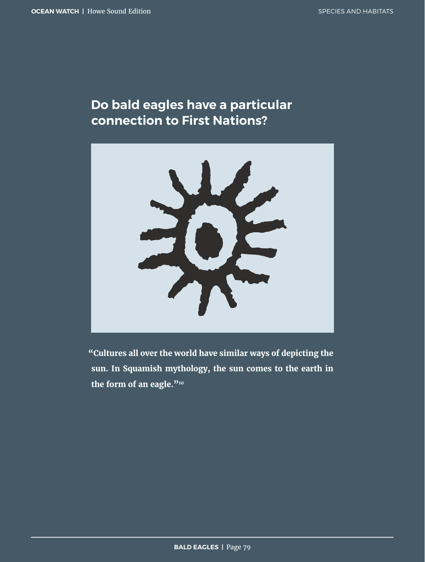### **Do bald eagles have a particular connection to First Nations?**



**"Cultures all over the world have similar ways of depicting the sun. In Squamish mythology, the sun comes to the earth in the form of an eagle."10**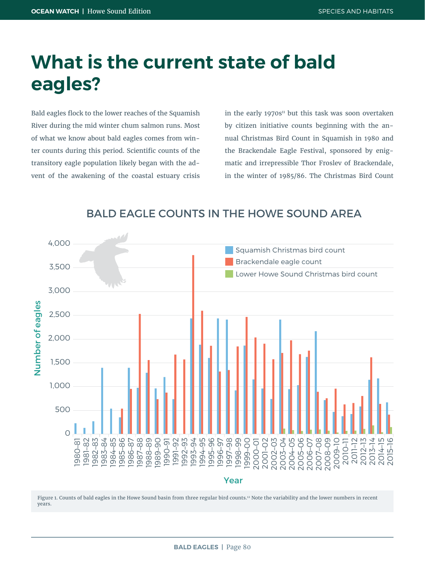## **What is the current state of bald eagles?**

Bald eagles flock to the lower reaches of the Squamish River during the mid winter chum salmon runs. Most of what we know about bald eagles comes from winter counts during this period. Scientific counts of the transitory eagle population likely began with the advent of the awakening of the coastal estuary crisis in the early 1970 $s<sup>n</sup>$  but this task was soon overtaken by citizen initiative counts beginning with the annual Christmas Bird Count in Squamish in 1980 and the Brackendale Eagle Festival, sponsored by enigmatic and irrepressible Thor Froslev of Brackendale, in the winter of 1985/86. The Christmas Bird Count

#### BALD EAGLE COUNTS IN THE HOWE SOUND AREA



Figure 1. Counts of bald eagles in the Howe Sound basin from three regular bird counts.12 Note the variability and the lower numbers in recent years.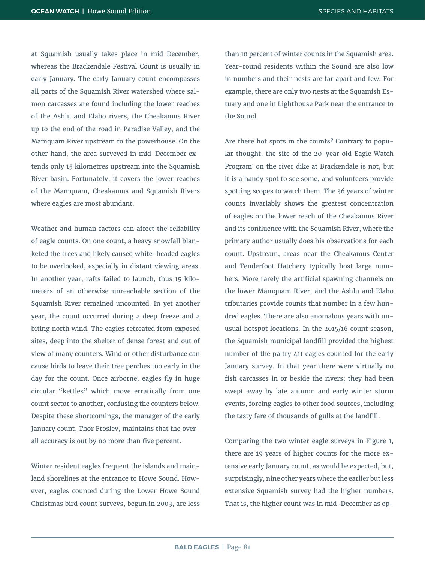at Squamish usually takes place in mid December, whereas the Brackendale Festival Count is usually in early January. The early January count encompasses all parts of the Squamish River watershed where salmon carcasses are found including the lower reaches of the Ashlu and Elaho rivers, the Cheakamus River up to the end of the road in Paradise Valley, and the Mamquam River upstream to the powerhouse. On the other hand, the area surveyed in mid-December extends only 15 kilometres upstream into the Squamish River basin. Fortunately, it covers the lower reaches of the Mamquam, Cheakamus and Squamish Rivers where eagles are most abundant.

Weather and human factors can affect the reliability of eagle counts. On one count, a heavy snowfall blanketed the trees and likely caused white-headed eagles to be overlooked, especially in distant viewing areas. In another year, rafts failed to launch, thus 15 kilometers of an otherwise unreachable section of the Squamish River remained uncounted. In yet another year, the count occurred during a deep freeze and a biting north wind. The eagles retreated from exposed sites, deep into the shelter of dense forest and out of view of many counters. Wind or other disturbance can cause birds to leave their tree perches too early in the day for the count. Once airborne, eagles fly in huge circular "kettles" which move erratically from one count sector to another, confusing the counters below. Despite these shortcomings, the manager of the early January count, Thor Froslev, maintains that the overall accuracy is out by no more than five percent.

Winter resident eagles frequent the islands and mainland shorelines at the entrance to Howe Sound. However, eagles counted during the Lower Howe Sound Christmas bird count surveys, begun in 2003, are less

than 10 percent of winter counts in the Squamish area. Year-round residents within the Sound are also low in numbers and their nests are far apart and few. For example, there are only two nests at the Squamish Estuary and one in Lighthouse Park near the entrance to the Sound.

Are there hot spots in the counts? Contrary to popular thought, the site of the 20-year old Eagle Watch Program1 on the river dike at Brackendale is not, but it is a handy spot to see some, and volunteers provide spotting scopes to watch them. The 36 years of winter counts invariably shows the greatest concentration of eagles on the lower reach of the Cheakamus River and its confluence with the Squamish River, where the primary author usually does his observations for each count. Upstream, areas near the Cheakamus Center and Tenderfoot Hatchery typically host large numbers. More rarely the artificial spawning channels on the lower Mamquam River, and the Ashlu and Elaho tributaries provide counts that number in a few hundred eagles. There are also anomalous years with unusual hotspot locations. In the 2015/16 count season, the Squamish municipal landfill provided the highest number of the paltry 411 eagles counted for the early January survey. In that year there were virtually no fish carcasses in or beside the rivers; they had been swept away by late autumn and early winter storm events, forcing eagles to other food sources, including the tasty fare of thousands of gulls at the landfill.

Comparing the two winter eagle surveys in Figure 1, there are 19 years of higher counts for the more extensive early January count, as would be expected, but, surprisingly, nine other years where the earlier but less extensive Squamish survey had the higher numbers. That is, the higher count was in mid-December as op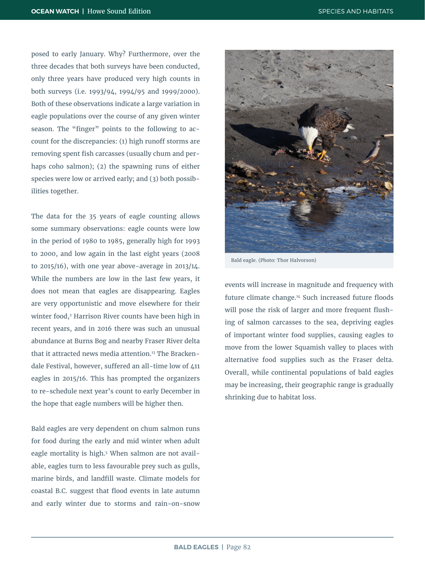posed to early January. Why? Furthermore, over the three decades that both surveys have been conducted, only three years have produced very high counts in both surveys (i.e. 1993/94, 1994/95 and 1999/2000). Both of these observations indicate a large variation in eagle populations over the course of any given winter season. The "finger" points to the following to account for the discrepancies: (1) high runoff storms are removing spent fish carcasses (usually chum and perhaps coho salmon); (2) the spawning runs of either species were low or arrived early; and (3) both possibilities together.

The data for the 35 years of eagle counting allows some summary observations: eagle counts were low in the period of 1980 to 1985, generally high for 1993 to 2000, and low again in the last eight years (2008 to 2015/16), with one year above-average in 2013/14. While the numbers are low in the last few years, it does not mean that eagles are disappearing. Eagles are very opportunistic and move elsewhere for their winter food,<sup>2</sup> Harrison River counts have been high in recent years, and in 2016 there was such an unusual abundance at Burns Bog and nearby Fraser River delta that it attracted news media attention.<sup>13</sup> The Brackendale Festival, however, suffered an all-time low of 411 eagles in 2015/16. This has prompted the organizers to re-schedule next year's count to early December in the hope that eagle numbers will be higher then.

Bald eagles are very dependent on chum salmon runs for food during the early and mid winter when adult eagle mortality is high.<sup>5</sup> When salmon are not available, eagles turn to less favourable prey such as gulls, marine birds, and landfill waste. Climate models for coastal B.C. suggest that flood events in late autumn and early winter due to storms and rain-on-snow



Bald eagle. (Photo: Thor Halvorson)

events will increase in magnitude and frequency with future climate change.14 Such increased future floods will pose the risk of larger and more frequent flushing of salmon carcasses to the sea, depriving eagles of important winter food supplies, causing eagles to move from the lower Squamish valley to places with alternative food supplies such as the Fraser delta. Overall, while continental populations of bald eagles may be increasing, their geographic range is gradually shrinking due to habitat loss.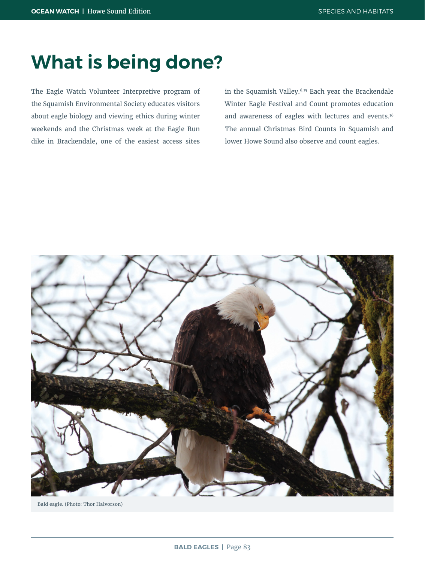## **What is being done?**

The Eagle Watch Volunteer Interpretive program of the Squamish Environmental Society educates visitors about eagle biology and viewing ethics during winter weekends and the Christmas week at the Eagle Run dike in Brackendale, one of the easiest access sites

in the Squamish Valley.6,15 Each year the Brackendale Winter Eagle Festival and Count promotes education and awareness of eagles with lectures and events.16 The annual Christmas Bird Counts in Squamish and lower Howe Sound also observe and count eagles.



Bald eagle. (Photo: Thor Halvorson)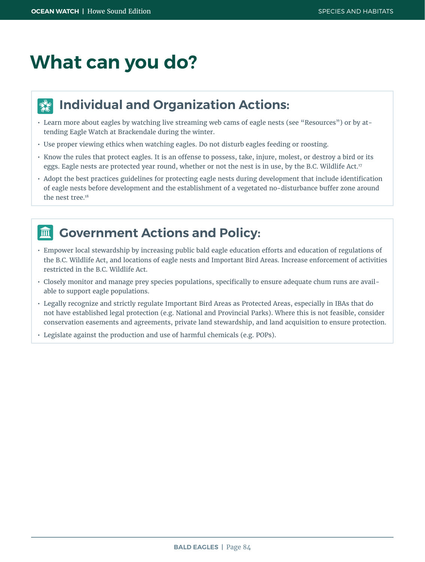## **What can you do?**

#### **Individual and Organization Actions:**  $\frac{1}{2}$

- Learn more about eagles by watching live streaming web cams of eagle nests (see "Resources") or by attending Eagle Watch at Brackendale during the winter.
- Use proper viewing ethics when watching eagles. Do not disturb eagles feeding or roosting.
- Know the rules that protect eagles. It is an offense to possess, take, injure, molest, or destroy a bird or its eggs. Eagle nests are protected year round, whether or not the nest is in use, by the B.C. Wildlife Act.<sup>17</sup>
- Adopt the best practices guidelines for protecting eagle nests during development that include identification of eagle nests before development and the establishment of a vegetated no-disturbance buffer zone around the nest tree<sup>18</sup>

#### 而。

### **Government Actions and Policy:**

- Empower local stewardship by increasing public bald eagle education efforts and education of regulations of the B.C. Wildlife Act, and locations of eagle nests and Important Bird Areas. Increase enforcement of activities restricted in the B.C. Wildlife Act.
- Closely monitor and manage prey species populations, specifically to ensure adequate chum runs are available to support eagle populations.
- Legally recognize and strictly regulate Important Bird Areas as Protected Areas, especially in IBAs that do not have established legal protection (e.g. National and Provincial Parks). Where this is not feasible, consider conservation easements and agreements, private land stewardship, and land acquisition to ensure protection.
- Legislate against the production and use of harmful chemicals (e.g. POPs).